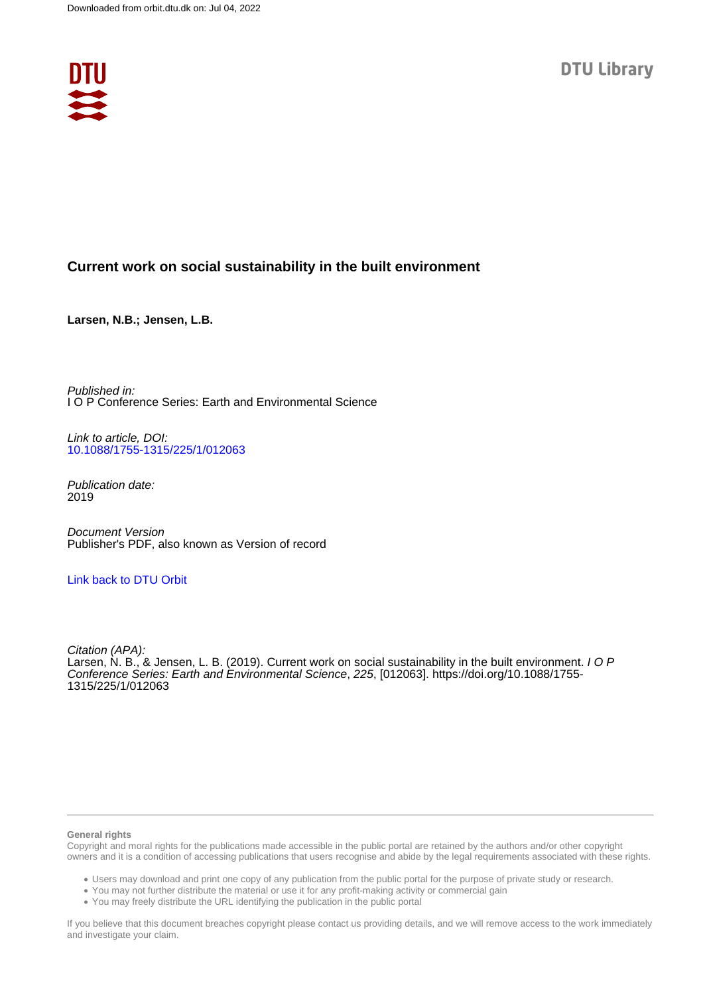

## **Current work on social sustainability in the built environment**

**Larsen, N.B.; Jensen, L.B.**

Published in: I O P Conference Series: Earth and Environmental Science

Link to article, DOI: [10.1088/1755-1315/225/1/012063](https://doi.org/10.1088/1755-1315/225/1/012063)

Publication date: 2019

Document Version Publisher's PDF, also known as Version of record

## [Link back to DTU Orbit](https://orbit.dtu.dk/en/publications/68d5b117-c034-4775-b1ff-22cf7371b56e)

Citation (APA): Larsen, N. B., & Jensen, L. B. (2019). Current work on social sustainability in the built environment. I O P Conference Series: Earth and Environmental Science, 225, [012063]. [https://doi.org/10.1088/1755-](https://doi.org/10.1088/1755-1315/225/1/012063) [1315/225/1/012063](https://doi.org/10.1088/1755-1315/225/1/012063)

#### **General rights**

Copyright and moral rights for the publications made accessible in the public portal are retained by the authors and/or other copyright owners and it is a condition of accessing publications that users recognise and abide by the legal requirements associated with these rights.

Users may download and print one copy of any publication from the public portal for the purpose of private study or research.

- You may not further distribute the material or use it for any profit-making activity or commercial gain
- You may freely distribute the URL identifying the publication in the public portal

If you believe that this document breaches copyright please contact us providing details, and we will remove access to the work immediately and investigate your claim.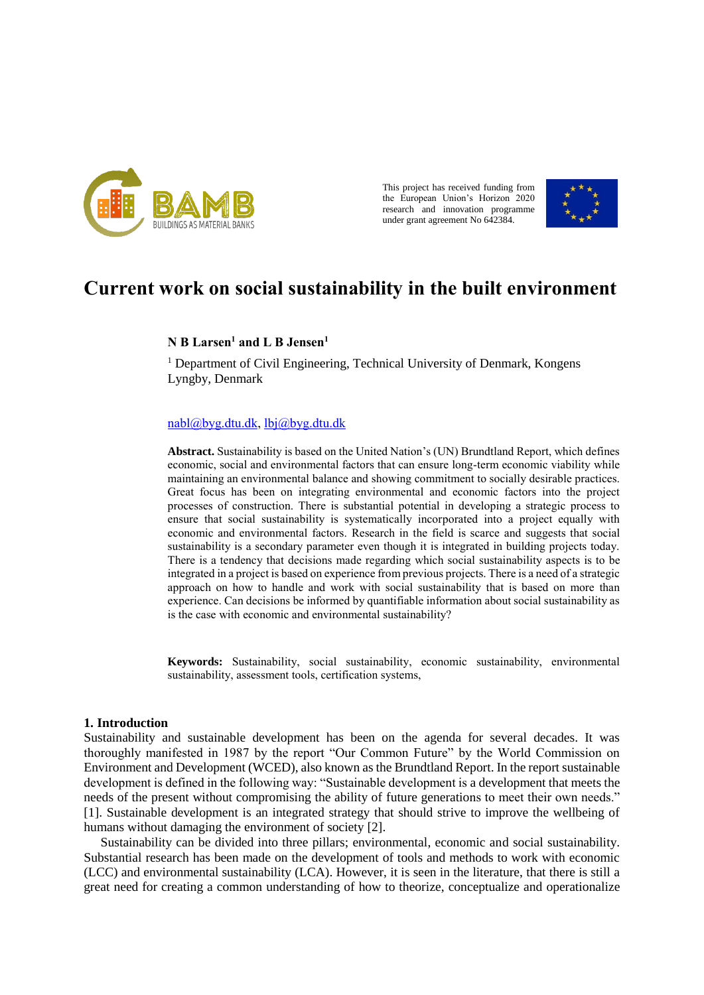

This project has received funding from the European Union's Horizon 2020 research and innovation programme under grant agreement No 642384.



# **Current work on social sustainability in the built environment**

**N B Larsen<sup>1</sup> and L B Jensen<sup>1</sup>**

<sup>1</sup> Department of Civil Engineering, Technical University of Denmark, Kongens Lyngby, Denmark

## [nabl@byg.dtu.dk,](mailto:nabl@byg.dtu.dk) lbj@byg.dtu.dk

**Abstract.** Sustainability is based on the United Nation's (UN) Brundtland Report, which defines economic, social and environmental factors that can ensure long-term economic viability while maintaining an environmental balance and showing commitment to socially desirable practices. Great focus has been on integrating environmental and economic factors into the project processes of construction. There is substantial potential in developing a strategic process to ensure that social sustainability is systematically incorporated into a project equally with economic and environmental factors. Research in the field is scarce and suggests that social sustainability is a secondary parameter even though it is integrated in building projects today. There is a tendency that decisions made regarding which social sustainability aspects is to be integrated in a project is based on experience from previous projects. There is a need of a strategic approach on how to handle and work with social sustainability that is based on more than experience. Can decisions be informed by quantifiable information about social sustainability as is the case with economic and environmental sustainability?

**Keywords:** Sustainability, social sustainability, economic sustainability, environmental sustainability, assessment tools, certification systems,

#### **1. Introduction**

Sustainability and sustainable development has been on the agenda for several decades. It was thoroughly manifested in 1987 by the report "Our Common Future" by the World Commission on Environment and Development (WCED), also known as the Brundtland Report. In the report sustainable development is defined in the following way: "Sustainable development is a development that meets the needs of the present without compromising the ability of future generations to meet their own needs." [1]. Sustainable development is an integrated strategy that should strive to improve the wellbeing of humans without damaging the environment of society [2].

Sustainability can be divided into three pillars; environmental, economic and social sustainability. Substantial research has been made on the development of tools and methods to work with economic (LCC) and environmental sustainability (LCA). However, it is seen in the literature, that there is still a great need for creating a common understanding of how to theorize, conceptualize and operationalize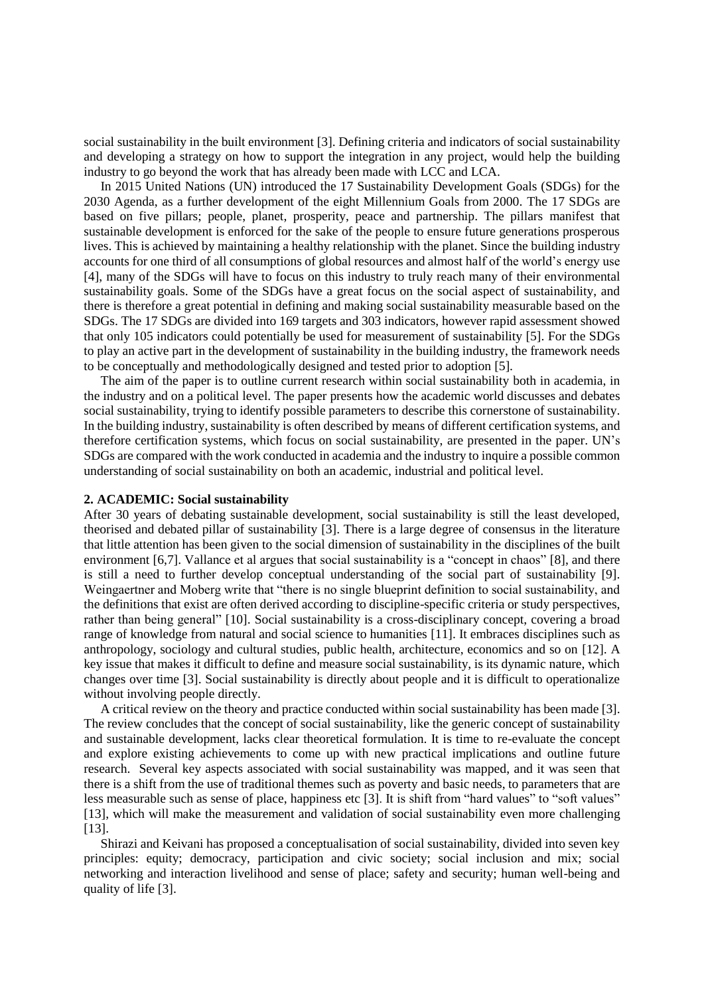social sustainability in the built environment [3]. Defining criteria and indicators of social sustainability and developing a strategy on how to support the integration in any project, would help the building industry to go beyond the work that has already been made with LCC and LCA.

In 2015 United Nations (UN) introduced the 17 Sustainability Development Goals (SDGs) for the 2030 Agenda, as a further development of the eight Millennium Goals from 2000. The 17 SDGs are based on five pillars; people, planet, prosperity, peace and partnership. The pillars manifest that sustainable development is enforced for the sake of the people to ensure future generations prosperous lives. This is achieved by maintaining a healthy relationship with the planet. Since the building industry accounts for one third of all consumptions of global resources and almost half of the world's energy use [4], many of the SDGs will have to focus on this industry to truly reach many of their environmental sustainability goals. Some of the SDGs have a great focus on the social aspect of sustainability, and there is therefore a great potential in defining and making social sustainability measurable based on the SDGs. The 17 SDGs are divided into 169 targets and 303 indicators, however rapid assessment showed that only 105 indicators could potentially be used for measurement of sustainability [5]. For the SDGs to play an active part in the development of sustainability in the building industry, the framework needs to be conceptually and methodologically designed and tested prior to adoption [5].

The aim of the paper is to outline current research within social sustainability both in academia, in the industry and on a political level. The paper presents how the academic world discusses and debates social sustainability, trying to identify possible parameters to describe this cornerstone of sustainability. In the building industry, sustainability is often described by means of different certification systems, and therefore certification systems, which focus on social sustainability, are presented in the paper. UN's SDGs are compared with the work conducted in academia and the industry to inquire a possible common understanding of social sustainability on both an academic, industrial and political level.

#### **2. ACADEMIC: Social sustainability**

After 30 years of debating sustainable development, social sustainability is still the least developed, theorised and debated pillar of sustainability [3]. There is a large degree of consensus in the literature that little attention has been given to the social dimension of sustainability in the disciplines of the built environment [6,7]. Vallance et al argues that social sustainability is a "concept in chaos" [8], and there is still a need to further develop conceptual understanding of the social part of sustainability [9]. Weingaertner and Moberg write that "there is no single blueprint definition to social sustainability, and the definitions that exist are often derived according to discipline-specific criteria or study perspectives, rather than being general" [10]. Social sustainability is a cross-disciplinary concept, covering a broad range of knowledge from natural and social science to humanities [11]. It embraces disciplines such as anthropology, sociology and cultural studies, public health, architecture, economics and so on [12]. A key issue that makes it difficult to define and measure social sustainability, is its dynamic nature, which changes over time [3]. Social sustainability is directly about people and it is difficult to operationalize without involving people directly.

A critical review on the theory and practice conducted within social sustainability has been made [3]. The review concludes that the concept of social sustainability, like the generic concept of sustainability and sustainable development, lacks clear theoretical formulation. It is time to re-evaluate the concept and explore existing achievements to come up with new practical implications and outline future research. Several key aspects associated with social sustainability was mapped, and it was seen that there is a shift from the use of traditional themes such as poverty and basic needs, to parameters that are less measurable such as sense of place, happiness etc [3]. It is shift from "hard values" to "soft values" [13], which will make the measurement and validation of social sustainability even more challenging [13].

Shirazi and Keivani has proposed a conceptualisation of social sustainability, divided into seven key principles: equity; democracy, participation and civic society; social inclusion and mix; social networking and interaction livelihood and sense of place; safety and security; human well-being and quality of life [3].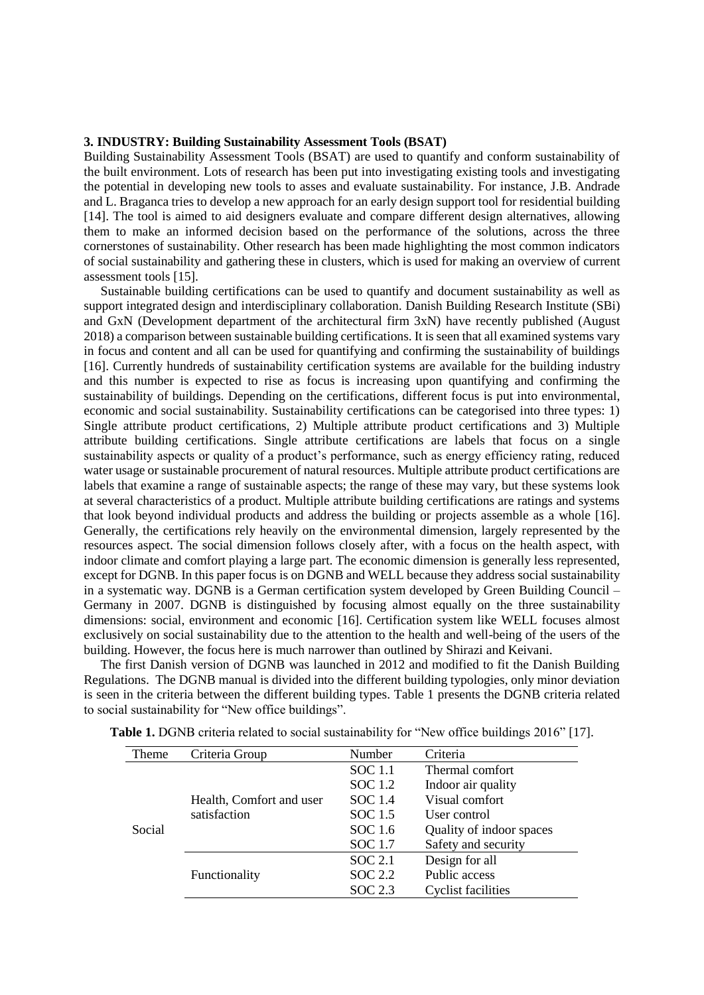#### **3. INDUSTRY: Building Sustainability Assessment Tools (BSAT)**

Building Sustainability Assessment Tools (BSAT) are used to quantify and conform sustainability of the built environment. Lots of research has been put into investigating existing tools and investigating the potential in developing new tools to asses and evaluate sustainability. For instance, J.B. Andrade and L. Braganca tries to develop a new approach for an early design support tool for residential building [14]. The tool is aimed to aid designers evaluate and compare different design alternatives, allowing them to make an informed decision based on the performance of the solutions, across the three cornerstones of sustainability. Other research has been made highlighting the most common indicators of social sustainability and gathering these in clusters, which is used for making an overview of current assessment tools [15].

Sustainable building certifications can be used to quantify and document sustainability as well as support integrated design and interdisciplinary collaboration. Danish Building Research Institute (SBi) and GxN (Development department of the architectural firm 3xN) have recently published (August 2018) a comparison between sustainable building certifications. It is seen that all examined systems vary in focus and content and all can be used for quantifying and confirming the sustainability of buildings [16]. Currently hundreds of sustainability certification systems are available for the building industry and this number is expected to rise as focus is increasing upon quantifying and confirming the sustainability of buildings. Depending on the certifications, different focus is put into environmental, economic and social sustainability. Sustainability certifications can be categorised into three types: 1) Single attribute product certifications, 2) Multiple attribute product certifications and 3) Multiple attribute building certifications. Single attribute certifications are labels that focus on a single sustainability aspects or quality of a product's performance, such as energy efficiency rating, reduced water usage or sustainable procurement of natural resources. Multiple attribute product certifications are labels that examine a range of sustainable aspects; the range of these may vary, but these systems look at several characteristics of a product. Multiple attribute building certifications are ratings and systems that look beyond individual products and address the building or projects assemble as a whole [16]. Generally, the certifications rely heavily on the environmental dimension, largely represented by the resources aspect. The social dimension follows closely after, with a focus on the health aspect, with indoor climate and comfort playing a large part. The economic dimension is generally less represented, except for DGNB. In this paper focus is on DGNB and WELL because they address social sustainability in a systematic way. DGNB is a German certification system developed by Green Building Council – Germany in 2007. DGNB is distinguished by focusing almost equally on the three sustainability dimensions: social, environment and economic [16]. Certification system like WELL focuses almost exclusively on social sustainability due to the attention to the health and well-being of the users of the building. However, the focus here is much narrower than outlined by Shirazi and Keivani.

The first Danish version of DGNB was launched in 2012 and modified to fit the Danish Building Regulations. The DGNB manual is divided into the different building typologies, only minor deviation is seen in the criteria between the different building types. [Table 1](#page-3-0) presents the DGNB criteria related to social sustainability for "New office buildings".

| Theme  | Criteria Group                           | Number         | Criteria                  |
|--------|------------------------------------------|----------------|---------------------------|
| Social |                                          | <b>SOC</b> 1.1 | Thermal comfort           |
|        | Health, Comfort and user<br>satisfaction | SOC 1.2        | Indoor air quality        |
|        |                                          | <b>SOC</b> 1.4 | Visual comfort            |
|        |                                          | SOC 1.5        | User control              |
|        |                                          | SOC 1.6        | Quality of indoor spaces  |
|        |                                          | SOC 1.7        | Safety and security       |
|        |                                          | SOC 2.1        | Design for all            |
|        | Functionality                            | SOC 2.2        | Public access             |
|        |                                          | SOC 2.3        | <b>Cyclist facilities</b> |

<span id="page-3-0"></span>**Table 1.** DGNB criteria related to social sustainability for "New office buildings 2016" [17].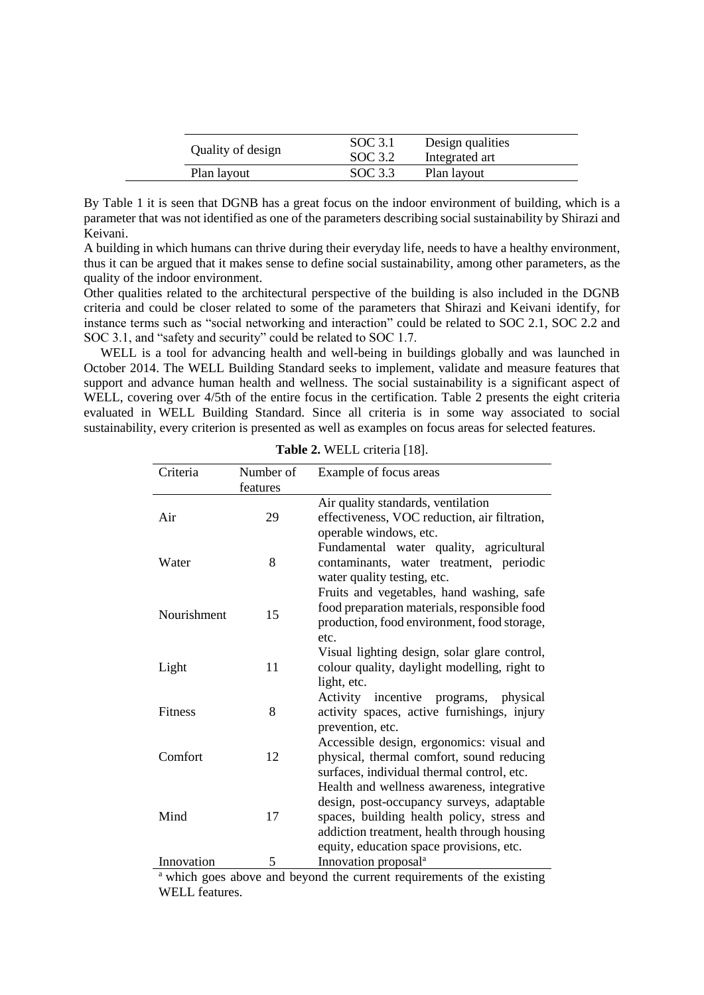| Quality of design | SOC 3.1<br>SOC 3.2 | Design qualities<br>Integrated art |  |
|-------------------|--------------------|------------------------------------|--|
| Plan layout       | SOC 3.3            | Plan layout                        |  |

By [Table 1](#page-3-0) it is seen that DGNB has a great focus on the indoor environment of building, which is a parameter that was not identified as one of the parameters describing social sustainability by Shirazi and Keivani.

A building in which humans can thrive during their everyday life, needs to have a healthy environment, thus it can be argued that it makes sense to define social sustainability, among other parameters, as the quality of the indoor environment.

Other qualities related to the architectural perspective of the building is also included in the DGNB criteria and could be closer related to some of the parameters that Shirazi and Keivani identify, for instance terms such as "social networking and interaction" could be related to SOC 2.1, SOC 2.2 and SOC 3.1, and "safety and security" could be related to SOC 1.7.

WELL is a tool for advancing health and well-being in buildings globally and was launched in October 2014. The WELL Building Standard seeks to implement, validate and measure features that support and advance human health and wellness. The social sustainability is a significant aspect of WELL, covering over 4/5th of the entire focus in the certification. [Table 2](#page-4-0) presents the eight criteria evaluated in WELL Building Standard. Since all criteria is in some way associated to social sustainability, every criterion is presented as well as examples on focus areas for selected features.

<span id="page-4-0"></span>

| Criteria       | Number of | Example of focus areas                                                                                                                                                                                                           |
|----------------|-----------|----------------------------------------------------------------------------------------------------------------------------------------------------------------------------------------------------------------------------------|
|                | features  |                                                                                                                                                                                                                                  |
| Air            | 29        | Air quality standards, ventilation<br>effectiveness, VOC reduction, air filtration,<br>operable windows, etc.                                                                                                                    |
| Water          | 8         | Fundamental water quality, agricultural<br>contaminants, water treatment, periodic<br>water quality testing, etc.                                                                                                                |
| Nourishment    | 15        | Fruits and vegetables, hand washing, safe<br>food preparation materials, responsible food<br>production, food environment, food storage,<br>etc.                                                                                 |
| Light          | 11        | Visual lighting design, solar glare control,<br>colour quality, daylight modelling, right to<br>light, etc.                                                                                                                      |
| <b>Fitness</b> | 8         | Activity incentive<br>programs, physical<br>activity spaces, active furnishings, injury<br>prevention, etc.                                                                                                                      |
| Comfort        | 12        | Accessible design, ergonomics: visual and<br>physical, thermal comfort, sound reducing<br>surfaces, individual thermal control, etc.                                                                                             |
| Mind           | 17        | Health and wellness awareness, integrative<br>design, post-occupancy surveys, adaptable<br>spaces, building health policy, stress and<br>addiction treatment, health through housing<br>equity, education space provisions, etc. |
| Innovation     | 5         | Innovation proposal <sup>a</sup>                                                                                                                                                                                                 |

**Table 2.** WELL criteria [18].

<sup>a</sup> which goes above and beyond the current requirements of the existing WELL features.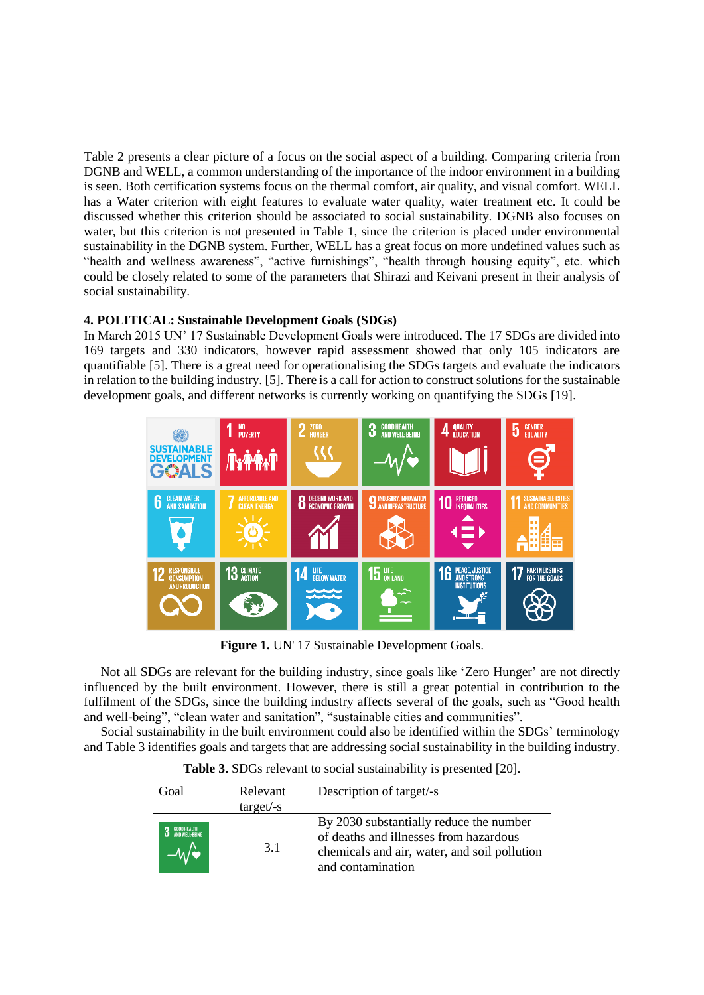[Table 2](#page-4-0) presents a clear picture of a focus on the social aspect of a building. Comparing criteria from DGNB and WELL, a common understanding of the importance of the indoor environment in a building is seen. Both certification systems focus on the thermal comfort, air quality, and visual comfort. WELL has a Water criterion with eight features to evaluate water quality, water treatment etc. It could be discussed whether this criterion should be associated to social sustainability. DGNB also focuses on water, but this criterion is not presented in [Table 1,](#page-3-0) since the criterion is placed under environmental sustainability in the DGNB system. Further, WELL has a great focus on more undefined values such as "health and wellness awareness", "active furnishings", "health through housing equity", etc. which could be closely related to some of the parameters that Shirazi and Keivani present in their analysis of social sustainability.

## **4. POLITICAL: Sustainable Development Goals (SDGs)**

In March 2015 UN' 17 Sustainable Development Goals were introduced. The 17 SDGs are divided into 169 targets and 330 indicators, however rapid assessment showed that only 105 indicators are quantifiable [5]. There is a great need for operationalising the SDGs targets and evaluate the indicators in relation to the building industry. [5]. There is a call for action to construct solutions for the sustainable development goals, and different networks is currently working on quantifying the SDGs [19].



**Figure 1.** UN' 17 Sustainable Development Goals.

Not all SDGs are relevant for the building industry, since goals like 'Zero Hunger' are not directly influenced by the built environment. However, there is still a great potential in contribution to the fulfilment of the SDGs, since the building industry affects several of the goals, such as "Good health and well-being", "clean water and sanitation", "sustainable cities and communities".

<span id="page-5-0"></span>Social sustainability in the built environment could also be identified within the SDGs' terminology and [Table 3](#page-5-0) identifies goals and targets that are addressing social sustainability in the building industry.

| Goal               | Relevant<br>$target/-s$ | Description of target/-s                                                                                                                               |
|--------------------|-------------------------|--------------------------------------------------------------------------------------------------------------------------------------------------------|
| <b>GOOD HEALTH</b> | 3.1                     | By 2030 substantially reduce the number<br>of deaths and illnesses from hazardous<br>chemicals and air, water, and soil pollution<br>and contamination |

**Table 3.** SDGs relevant to social sustainability is presented [20].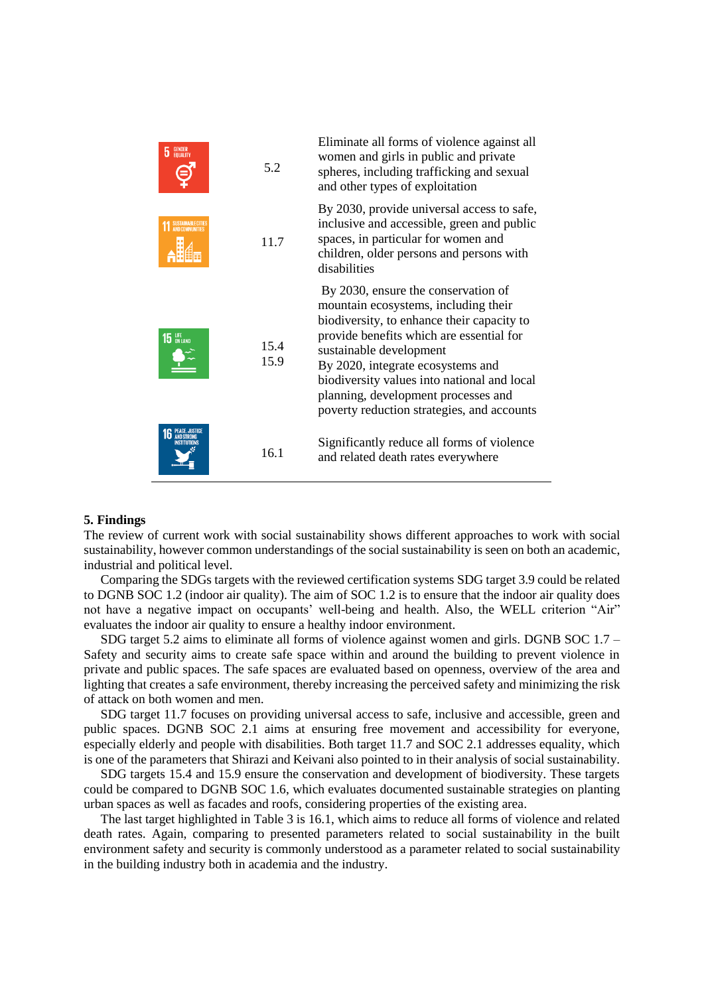| <b>GENDER</b><br>EQUALITY | 5.2          | Eliminate all forms of violence against all<br>women and girls in public and private<br>spheres, including trafficking and sexual<br>and other types of exploitation                                                                                                                                                                                                      |
|---------------------------|--------------|---------------------------------------------------------------------------------------------------------------------------------------------------------------------------------------------------------------------------------------------------------------------------------------------------------------------------------------------------------------------------|
| <b>SUSTAINABLE CITIES</b> | 11.7         | By 2030, provide universal access to safe,<br>inclusive and accessible, green and public<br>spaces, in particular for women and<br>children, older persons and persons with<br>disabilities                                                                                                                                                                               |
| <b>15 LIFE</b> ON LAND    | 15.4<br>15.9 | By 2030, ensure the conservation of<br>mountain ecosystems, including their<br>biodiversity, to enhance their capacity to<br>provide benefits which are essential for<br>sustainable development<br>By 2020, integrate ecosystems and<br>biodiversity values into national and local<br>planning, development processes and<br>poverty reduction strategies, and accounts |
|                           | 16.1         | Significantly reduce all forms of violence<br>and related death rates everywhere                                                                                                                                                                                                                                                                                          |

### **5. Findings**

The review of current work with social sustainability shows different approaches to work with social sustainability, however common understandings of the social sustainability is seen on both an academic, industrial and political level.

Comparing the SDGs targets with the reviewed certification systems SDG target 3.9 could be related to DGNB SOC 1.2 (indoor air quality). The aim of SOC 1.2 is to ensure that the indoor air quality does not have a negative impact on occupants' well-being and health. Also, the WELL criterion "Air" evaluates the indoor air quality to ensure a healthy indoor environment.

SDG target 5.2 aims to eliminate all forms of violence against women and girls. DGNB SOC 1.7 – Safety and security aims to create safe space within and around the building to prevent violence in private and public spaces. The safe spaces are evaluated based on openness, overview of the area and lighting that creates a safe environment, thereby increasing the perceived safety and minimizing the risk of attack on both women and men.

SDG target 11.7 focuses on providing universal access to safe, inclusive and accessible, green and public spaces. DGNB SOC 2.1 aims at ensuring free movement and accessibility for everyone, especially elderly and people with disabilities. Both target 11.7 and SOC 2.1 addresses equality, which is one of the parameters that Shirazi and Keivani also pointed to in their analysis of social sustainability.

SDG targets 15.4 and 15.9 ensure the conservation and development of biodiversity. These targets could be compared to DGNB SOC 1.6, which evaluates documented sustainable strategies on planting urban spaces as well as facades and roofs, considering properties of the existing area.

The last target highlighted in [Table 3](#page-5-0) is 16.1, which aims to reduce all forms of violence and related death rates. Again, comparing to presented parameters related to social sustainability in the built environment safety and security is commonly understood as a parameter related to social sustainability in the building industry both in academia and the industry.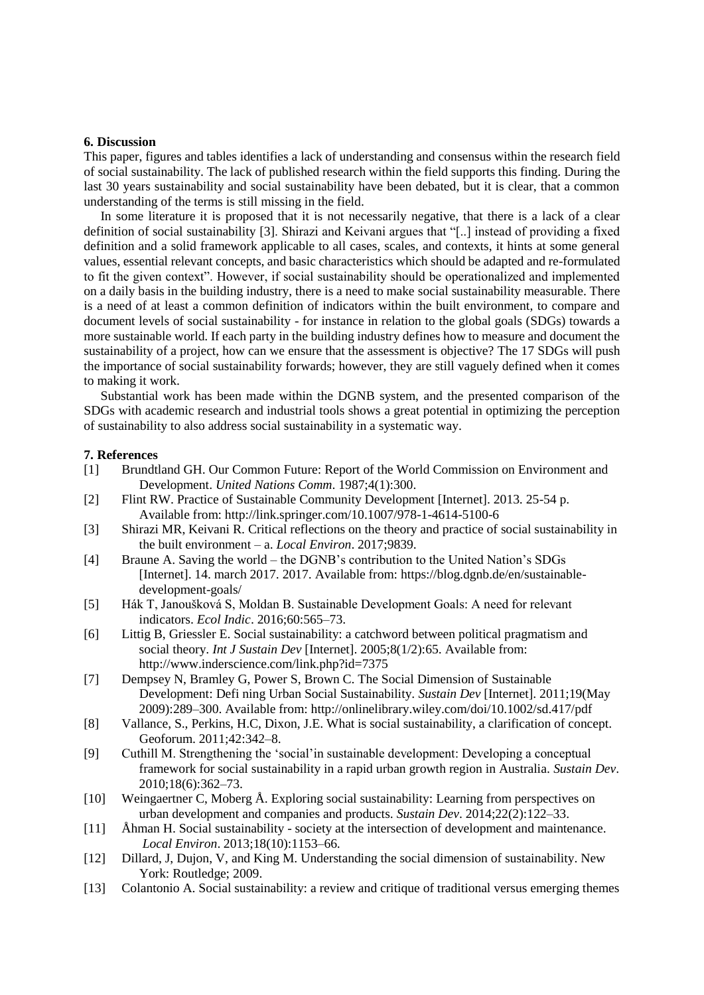### **6. Discussion**

This paper, figures and tables identifies a lack of understanding and consensus within the research field of social sustainability. The lack of published research within the field supports this finding. During the last 30 years sustainability and social sustainability have been debated, but it is clear, that a common understanding of the terms is still missing in the field.

In some literature it is proposed that it is not necessarily negative, that there is a lack of a clear definition of social sustainability [3]. Shirazi and Keivani argues that "[..] instead of providing a fixed definition and a solid framework applicable to all cases, scales, and contexts, it hints at some general values, essential relevant concepts, and basic characteristics which should be adapted and re-formulated to fit the given context". However, if social sustainability should be operationalized and implemented on a daily basis in the building industry, there is a need to make social sustainability measurable. There is a need of at least a common definition of indicators within the built environment, to compare and document levels of social sustainability - for instance in relation to the global goals (SDGs) towards a more sustainable world. If each party in the building industry defines how to measure and document the sustainability of a project, how can we ensure that the assessment is objective? The 17 SDGs will push the importance of social sustainability forwards; however, they are still vaguely defined when it comes to making it work.

Substantial work has been made within the DGNB system, and the presented comparison of the SDGs with academic research and industrial tools shows a great potential in optimizing the perception of sustainability to also address social sustainability in a systematic way.

### **7. References**

- [1] Brundtland GH. Our Common Future: Report of the World Commission on Environment and Development. *United Nations Comm*. 1987;4(1):300.
- [2] Flint RW. Practice of Sustainable Community Development [Internet]. 2013. 25-54 p. Available from: http://link.springer.com/10.1007/978-1-4614-5100-6
- [3] Shirazi MR, Keivani R. Critical reflections on the theory and practice of social sustainability in the built environment – a. *Local Environ*. 2017;9839.
- [4] Braune A. Saving the world the DGNB's contribution to the United Nation's SDGs [Internet]. 14. march 2017. 2017. Available from: https://blog.dgnb.de/en/sustainable development-goals/
- [5] Hák T, Janoušková S, Moldan B. Sustainable Development Goals: A need for relevant indicators. *Ecol Indic*. 2016;60:565–73.
- [6] Littig B, Griessler E. Social sustainability: a catchword between political pragmatism and social theory. *Int J Sustain Dev* [Internet]. 2005;8(1/2):65. Available from: http://www.inderscience.com/link.php?id=7375
- [7] Dempsey N, Bramley G, Power S, Brown C. The Social Dimension of Sustainable Development: Defi ning Urban Social Sustainability. *Sustain Dev* [Internet]. 2011;19(May 2009):289–300. Available from: http://onlinelibrary.wiley.com/doi/10.1002/sd.417/pdf
- [8] Vallance, S., Perkins, H.C, Dixon, J.E. What is social sustainability, a clarification of concept. Geoforum. 2011;42:342–8.
- [9] Cuthill M. Strengthening the 'social'in sustainable development: Developing a conceptual framework for social sustainability in a rapid urban growth region in Australia. *Sustain Dev*. 2010;18(6):362–73.
- [10] Weingaertner C, Moberg Å. Exploring social sustainability: Learning from perspectives on urban development and companies and products. *Sustain Dev*. 2014;22(2):122–33.
- [11] Åhman H. Social sustainability society at the intersection of development and maintenance. *Local Environ*. 2013;18(10):1153–66.
- [12] Dillard, J, Dujon, V, and King M. Understanding the social dimension of sustainability. New York: Routledge; 2009.
- [13] Colantonio A. Social sustainability: a review and critique of traditional versus emerging themes